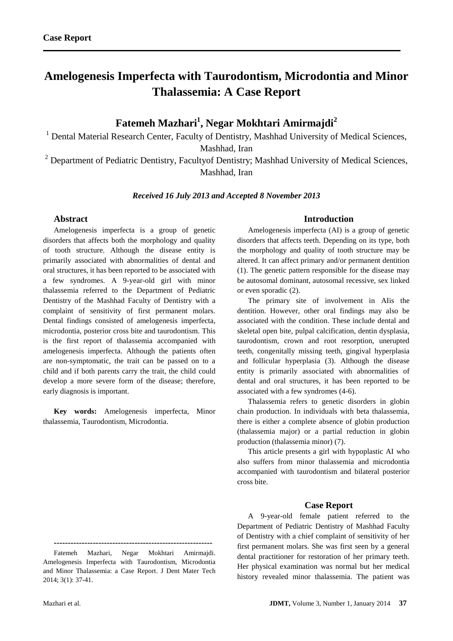# **Amelogenesis Imperfecta with Taurodontism, Microdontia and Minor Thalassemia: A Case Report**

# **Fatemeh Mazhari<sup>1</sup> , Negar Mokhtari Amirmajdi<sup>2</sup>**

<sup>1</sup> Dental Material Research Center, Faculty of Dentistry, Mashhad University of Medical Sciences, Mashhad, Iran

 $2$  Department of Pediatric Dentistry, Faculty of Dentistry; Mashhad University of Medical Sciences, Mashhad, Iran

*Received 16 July 2013 and Accepted 8 November 2013*

### **Abstract**

Amelogenesis imperfecta is a group of genetic disorders that affects both the morphology and quality of tooth structure. Although the disease entity is primarily associated with abnormalities of dental and oral structures, it has been reported to be associated with a few syndromes. A 9-year-old girl with minor thalassemia referred to the Department of Pediatric Dentistry of the Mashhad Faculty of Dentistry with a complaint of sensitivity of first permanent molars. Dental findings consisted of amelogenesis imperfecta, microdontia, posterior cross bite and taurodontism. This is the first report of thalassemia accompanied with amelogenesis imperfecta. Although the patients often are non-symptomatic, the trait can be passed on to a child and if both parents carry the trait, the child could develop a more severe form of the disease; therefore, early diagnosis is important.

**Key words:** Amelogenesis imperfecta, Minor thalassemia, Taurodontism, Microdontia.

#### **---------------------------------------------------------** Fatemeh Mazhari, Negar Mokhtari Amirmajdi.

## **Introduction**

Amelogenesis imperfecta (AI) is a group of genetic disorders that affects teeth. Depending on its type, both the morphology and quality of tooth structure may be altered. It can affect primary and/or permanent dentition (1). The genetic pattern responsible for the disease may be autosomal dominant, autosomal recessive, sex linked or even sporadic (2).

The primary site of involvement in AIis the dentition. However, other oral findings may also be associated with the condition. These include dental and skeletal open bite, pulpal calcification, dentin dysplasia, taurodontism, crown and root resorption, unerupted teeth, congenitally missing teeth, gingival hyperplasia and follicular hyperplasia (3). Although the disease entity is primarily associated with abnormalities of dental and oral structures, it has been reported to be associated with a few syndromes (4-6).

Thalassemia refers to genetic disorders in globin chain production. In individuals with beta thalassemia, there is either a complete absence of globin production (thalassemia major) or a partial reduction in globin production (thalassemia minor) (7).

This article presents a girl with hypoplastic AI who also suffers from minor thalassemia and microdontia accompanied with taurodontism and bilateral posterior cross bite.

### **Case Report**

A 9-year-old female patient referred to the Department of Pediatric Dentistry of Mashhad Faculty of Dentistry with a chief complaint of sensitivity of her first permanent molars. She was first seen by a general dental practitioner for restoration of her primary teeth. Her physical examination was normal but her medical history revealed minor thalassemia. The patient was

Amelogenesis Imperfecta with Taurodontism, Microdontia and Minor Thalassemia: a Case Report. J Dent Mater Tech 2014; 3(1): 37-41.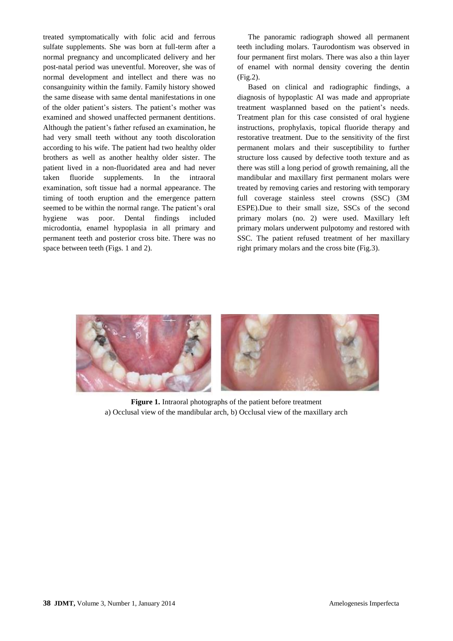treated symptomatically with folic acid and ferrous sulfate supplements. She was born at full-term after a normal pregnancy and uncomplicated delivery and her post-natal period was uneventful. Moreover, she was of normal development and intellect and there was no consanguinity within the family. Family history showed the same disease with same dental manifestations in one of the older patient's sisters. The patient's mother was examined and showed unaffected permanent dentitions. Although the patient's father refused an examination, he had very small teeth without any tooth discoloration according to his wife. The patient had two healthy older brothers as well as another healthy older sister. The patient lived in a non-fluoridated area and had never taken fluoride supplements. In the intraoral examination, soft tissue had a normal appearance. The timing of tooth eruption and the emergence pattern seemed to be within the normal range. The patient's oral hygiene was poor. Dental findings included microdontia, enamel hypoplasia in all primary and permanent teeth and posterior cross bite. There was no space between teeth (Figs. 1 and 2).

The panoramic radiograph showed all permanent teeth including molars. Taurodontism was observed in four permanent first molars. There was also a thin layer of enamel with normal density covering the dentin (Fig.2).

Based on clinical and radiographic findings, a diagnosis of hypoplastic AI was made and appropriate treatment wasplanned based on the patient's needs. Treatment plan for this case consisted of oral hygiene instructions, prophylaxis, topical fluoride therapy and restorative treatment. Due to the sensitivity of the first permanent molars and their susceptibility to further structure loss caused by defective tooth texture and as there was still a long period of growth remaining, all the mandibular and maxillary first permanent molars were treated by removing caries and restoring with temporary full coverage stainless steel crowns (SSC) (3M ESPE).Due to their small size, SSCs of the second primary molars (no. 2) were used. Maxillary left primary molars underwent pulpotomy and restored with SSC. The patient refused treatment of her maxillary right primary molars and the cross bite (Fig.3).



**Figure 1.** Intraoral photographs of the patient before treatment a) Occlusal view of the mandibular arch, b) Occlusal view of the maxillary arch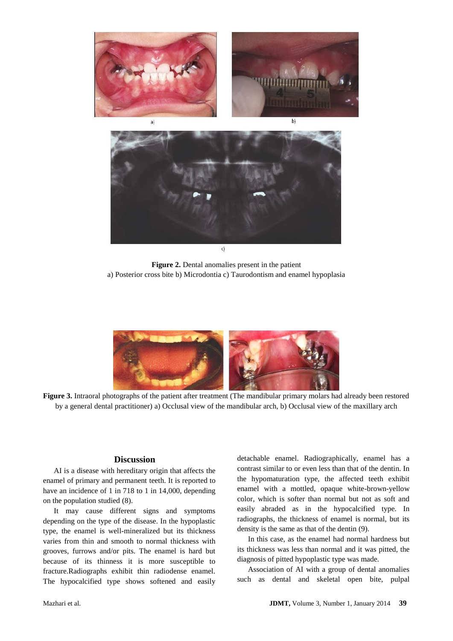

**Figure 2.** Dental anomalies present in the patient a) Posterior cross bite b) Microdontia c) Taurodontism and enamel hypoplasia



**Figure 3.** Intraoral photographs of the patient after treatment (The mandibular primary molars had already been restored by a general dental practitioner) a) Occlusal view of the mandibular arch, b) Occlusal view of the maxillary arch

### **Discussion**

AI is a disease with hereditary origin that affects the enamel of primary and permanent teeth. It is reported to have an incidence of 1 in 718 to 1 in 14,000, depending on the population studied (8).

It may cause different signs and symptoms depending on the type of the disease. In the hypoplastic type, the enamel is well-mineralized but its thickness varies from thin and smooth to normal thickness with grooves, furrows and/or pits. The enamel is hard but because of its thinness it is more susceptible to fracture.Radiographs exhibit thin radiodense enamel. The hypocalcified type shows softened and easily

detachable enamel. Radiographically, enamel has a contrast similar to or even less than that of the dentin. In the hypomaturation type, the affected teeth exhibit enamel with a mottled, opaque white-brown-yellow color, which is softer than normal but not as soft and easily abraded as in the hypocalcified type. In radiographs, the thickness of enamel is normal, but its density is the same as that of the dentin (9).

In this case, as the enamel had normal hardness but its thickness was less than normal and it was pitted, the diagnosis of pitted hypoplastic type was made.

Association of AI with a group of dental anomalies such as dental and skeletal open bite, pulpal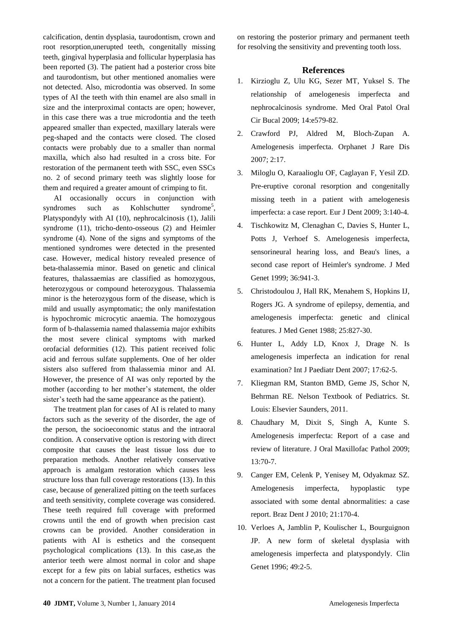calcification, dentin dysplasia, taurodontism, crown and root resorption,unerupted teeth, congenitally missing teeth, gingival hyperplasia and follicular hyperplasia has been reported (3). The patient had a posterior cross bite and taurodontism, but other mentioned anomalies were not detected. Also, microdontia was observed. In some types of AI the teeth with thin enamel are also small in size and the interproximal contacts are open; however, in this case there was a true microdontia and the teeth appeared smaller than expected, maxillary laterals were peg-shaped and the contacts were closed. The closed contacts were probably due to a smaller than normal maxilla, which also had resulted in a cross bite. For restoration of the permanent teeth with SSC, even SSCs no. 2 of second primary teeth was slightly loose for them and required a greater amount of crimping to fit.

AI occasionally occurs in conjunction with syndromes such as Kohlschutter syndrome<sup>5</sup>, Platyspondyly with AI (10), nephrocalcinosis (1), Jalili syndrome (11), tricho-dento-osseous (2) and Heimler syndrome (4). None of the signs and symptoms of the mentioned syndromes were detected in the presented case. However, medical history revealed presence of beta-thalassemia minor. Based on genetic and clinical features, thalassaemias are classified as homozygous, heterozygous or compound heterozygous. Thalassemia minor is the heterozygous form of the disease, which is mild and usually asymptomatic; the only manifestation is hypochromic microcytic anaemia. The homozygous form of b-thalassemia named thalassemia major exhibits the most severe clinical symptoms with marked orofacial deformities (12). This patient received folic acid and ferrous sulfate supplements. One of her older sisters also suffered from thalassemia minor and AI. However, the presence of AI was only reported by the mother (according to her mother's statement, the older sister's teeth had the same appearance as the patient).

The treatment plan for cases of AI is related to many factors such as the severity of the disorder, the age of the person, the socioeconomic status and the intraoral condition. A conservative option is restoring with direct composite that causes the least tissue loss due to preparation methods. Another relatively conservative approach is amalgam restoration which causes less structure loss than full coverage restorations (13). In this case, because of generalized pitting on the teeth surfaces and teeth sensitivity, complete coverage was considered. These teeth required full coverage with preformed crowns until the end of growth when precision cast crowns can be provided. Another consideration in patients with AI is esthetics and the consequent psychological complications (13). In this case,as the anterior teeth were almost normal in color and shape except for a few pits on labial surfaces, esthetics was not a concern for the patient. The treatment plan focused on restoring the posterior primary and permanent teeth for resolving the sensitivity and preventing tooth loss.

#### **References**

- 1. Kirzioglu Z, Ulu KG, Sezer MT, Yuksel S. The relationship of amelogenesis imperfecta and nephrocalcinosis syndrome. Med Oral Patol Oral Cir Bucal 2009; 14:e579-82.
- 2. Crawford PJ, Aldred M, Bloch-Zupan A. Amelogenesis imperfecta. Orphanet J Rare Dis 2007; 2:17.
- 3. Miloglu O, Karaalioglu OF, Caglayan F, Yesil ZD. Pre-eruptive coronal resorption and congenitally missing teeth in a patient with amelogenesis imperfecta: a case report. Eur J Dent 2009; 3:140-4.
- 4. Tischkowitz M, Clenaghan C, Davies S, Hunter L, Potts J, Verhoef S. Amelogenesis imperfecta, sensorineural hearing loss, and Beau's lines, a second case report of Heimler's syndrome. J Med Genet 1999; 36:941-3.
- 5. Christodoulou J, Hall RK, Menahem S, Hopkins IJ, Rogers JG. A syndrome of epilepsy, dementia, and amelogenesis imperfecta: genetic and clinical features. J Med Genet 1988; 25:827-30.
- 6. Hunter L, Addy LD, Knox J, Drage N. Is amelogenesis imperfecta an indication for renal examination? Int J Paediatr Dent 2007; 17:62-5.
- 7. Kliegman RM, Stanton BMD, Geme JS, Schor N, Behrman RE. Nelson Textbook of Pediatrics. St. Louis: Elsevier Saunders, 2011.
- 8. Chaudhary M, Dixit S, Singh A, Kunte S. Amelogenesis imperfecta: Report of a case and review of literature. J Oral Maxillofac Pathol 2009; 13:70-7.
- 9. Canger EM, Celenk P, Yenisey M, Odyakmaz SZ. Amelogenesis imperfecta, hypoplastic type associated with some dental abnormalities: a case report. Braz Dent J 2010; 21:170-4.
- 10. Verloes A, Jamblin P, Koulischer L, Bourguignon JP. A new form of skeletal dysplasia with amelogenesis imperfecta and platyspondyly. Clin Genet 1996; 49:2-5.